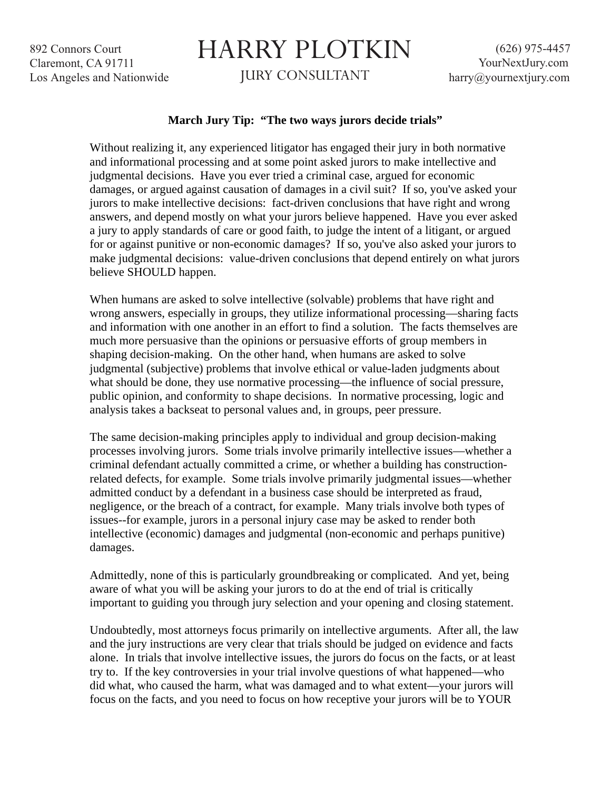892 Connors Court Claremont, CA 91711 Los Angeles and Nationwide

## HARRY PLOTKIN

JURY CONSULTANT

## **March Jury Tip: "The two ways jurors decide trials"**

Without realizing it, any experienced litigator has engaged their jury in both normative and informational processing and at some point asked jurors to make intellective and judgmental decisions. Have you ever tried a criminal case, argued for economic damages, or argued against causation of damages in a civil suit? If so, you've asked your jurors to make intellective decisions: fact-driven conclusions that have right and wrong answers, and depend mostly on what your jurors believe happened. Have you ever asked a jury to apply standards of care or good faith, to judge the intent of a litigant, or argued for or against punitive or non-economic damages? If so, you've also asked your jurors to make judgmental decisions: value-driven conclusions that depend entirely on what jurors believe SHOULD happen.

When humans are asked to solve intellective (solvable) problems that have right and wrong answers, especially in groups, they utilize informational processing—sharing facts and information with one another in an effort to find a solution. The facts themselves are much more persuasive than the opinions or persuasive efforts of group members in shaping decision-making. On the other hand, when humans are asked to solve judgmental (subjective) problems that involve ethical or value-laden judgments about what should be done, they use normative processing—the influence of social pressure, public opinion, and conformity to shape decisions. In normative processing, logic and analysis takes a backseat to personal values and, in groups, peer pressure.

The same decision-making principles apply to individual and group decision-making processes involving jurors. Some trials involve primarily intellective issues—whether a criminal defendant actually committed a crime, or whether a building has constructionrelated defects, for example. Some trials involve primarily judgmental issues—whether admitted conduct by a defendant in a business case should be interpreted as fraud, negligence, or the breach of a contract, for example. Many trials involve both types of issues--for example, jurors in a personal injury case may be asked to render both intellective (economic) damages and judgmental (non-economic and perhaps punitive) damages.

Admittedly, none of this is particularly groundbreaking or complicated. And yet, being aware of what you will be asking your jurors to do at the end of trial is critically important to guiding you through jury selection and your opening and closing statement.

Undoubtedly, most attorneys focus primarily on intellective arguments. After all, the law and the jury instructions are very clear that trials should be judged on evidence and facts alone. In trials that involve intellective issues, the jurors do focus on the facts, or at least try to. If the key controversies in your trial involve questions of what happened—who did what, who caused the harm, what was damaged and to what extent—your jurors will focus on the facts, and you need to focus on how receptive your jurors will be to YOUR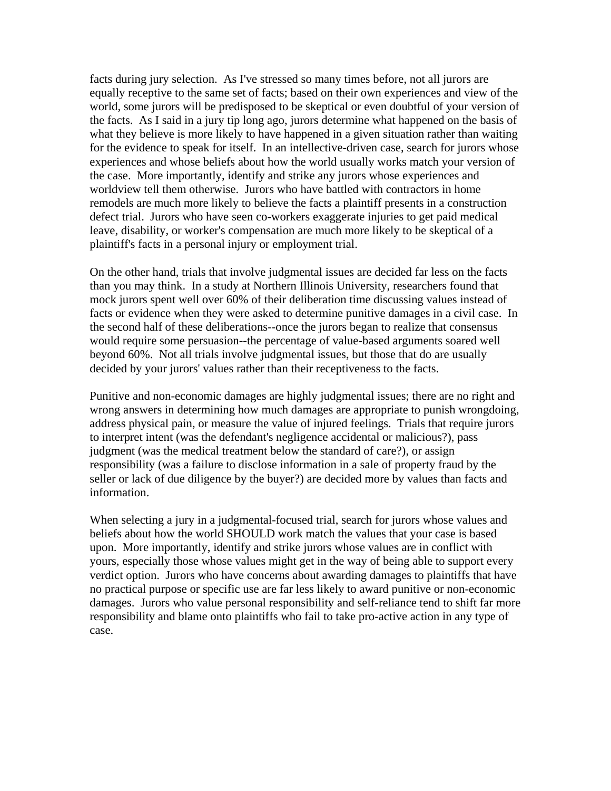facts during jury selection. As I've stressed so many times before, not all jurors are equally receptive to the same set of facts; based on their own experiences and view of the world, some jurors will be predisposed to be skeptical or even doubtful of your version of the facts. As I said in a jury tip long ago, jurors determine what happened on the basis of what they believe is more likely to have happened in a given situation rather than waiting for the evidence to speak for itself. In an intellective-driven case, search for jurors whose experiences and whose beliefs about how the world usually works match your version of the case. More importantly, identify and strike any jurors whose experiences and worldview tell them otherwise. Jurors who have battled with contractors in home remodels are much more likely to believe the facts a plaintiff presents in a construction defect trial. Jurors who have seen co-workers exaggerate injuries to get paid medical leave, disability, or worker's compensation are much more likely to be skeptical of a plaintiff's facts in a personal injury or employment trial.

On the other hand, trials that involve judgmental issues are decided far less on the facts than you may think. In a study at Northern Illinois University, researchers found that mock jurors spent well over 60% of their deliberation time discussing values instead of facts or evidence when they were asked to determine punitive damages in a civil case. In the second half of these deliberations--once the jurors began to realize that consensus would require some persuasion--the percentage of value-based arguments soared well beyond 60%. Not all trials involve judgmental issues, but those that do are usually decided by your jurors' values rather than their receptiveness to the facts.

Punitive and non-economic damages are highly judgmental issues; there are no right and wrong answers in determining how much damages are appropriate to punish wrongdoing, address physical pain, or measure the value of injured feelings. Trials that require jurors to interpret intent (was the defendant's negligence accidental or malicious?), pass judgment (was the medical treatment below the standard of care?), or assign responsibility (was a failure to disclose information in a sale of property fraud by the seller or lack of due diligence by the buyer?) are decided more by values than facts and information.

When selecting a jury in a judgmental-focused trial, search for jurors whose values and beliefs about how the world SHOULD work match the values that your case is based upon. More importantly, identify and strike jurors whose values are in conflict with yours, especially those whose values might get in the way of being able to support every verdict option. Jurors who have concerns about awarding damages to plaintiffs that have no practical purpose or specific use are far less likely to award punitive or non-economic damages. Jurors who value personal responsibility and self-reliance tend to shift far more responsibility and blame onto plaintiffs who fail to take pro-active action in any type of case.